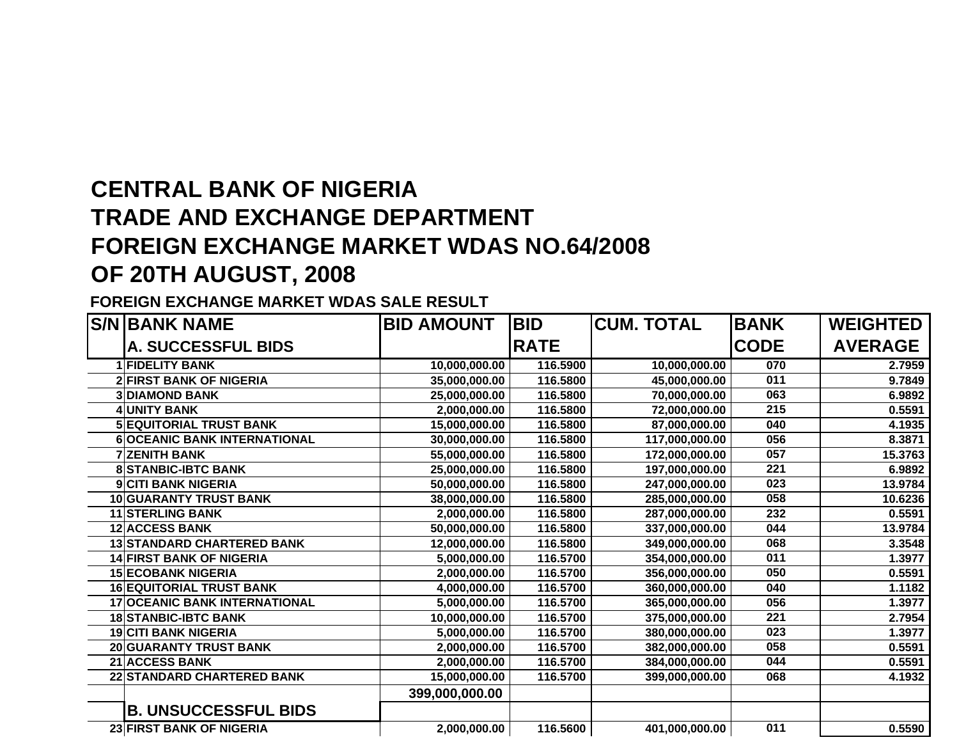# **CENTRAL BANK OF NIGERIATRADE AND EXCHANGE DEPARTMENTFOREIGN EXCHANGE MARKET WDAS NO.64/2008 OF 20TH AUGUST, 2008**

#### **FOREIGN EXCHANGE MARKET WDAS SALE RESULT**

| <b>S/N BANK NAME</b>                 | <b>BID AMOUNT</b> | <b>BID</b>  | <b>CUM. TOTAL</b> | <b>BANK</b>      | <b>WEIGHTED</b> |
|--------------------------------------|-------------------|-------------|-------------------|------------------|-----------------|
| <b>A. SUCCESSFUL BIDS</b>            |                   | <b>RATE</b> |                   | <b>CODE</b>      | <b>AVERAGE</b>  |
| <b>1 FIDELITY BANK</b>               | 10,000,000.00     | 116.5900    | 10,000,000.00     | 070              | 2.7959          |
| <b>2 FIRST BANK OF NIGERIA</b>       | 35,000,000.00     | 116.5800    | 45,000,000.00     | 011              | 9.7849          |
| <b>DIAMOND BANK</b>                  | 25,000,000.00     | 116.5800    | 70,000,000.00     | 063              | 6.9892          |
| 4 UNITY BANK                         | 2,000,000.00      | 116.5800    | 72,000,000.00     | 215              | 0.5591          |
| <b>5 EQUITORIAL TRUST BANK</b>       | 15,000,000.00     | 116.5800    | 87,000,000.00     | 040              | 4.1935          |
| <b>6 OCEANIC BANK INTERNATIONAL</b>  | 30,000,000.00     | 116.5800    | 117,000,000.00    | 056              | 8.3871          |
| <b>7 ZENITH BANK</b>                 | 55,000,000.00     | 116.5800    | 172,000,000.00    | 057              | 15.3763         |
| <b>8 STANBIC-IBTC BANK</b>           | 25,000,000.00     | 116.5800    | 197,000,000.00    | 221              | 6.9892          |
| 9 CITI BANK NIGERIA                  | 50,000,000.00     | 116.5800    | 247,000,000.00    | 023              | 13.9784         |
| <b>10 GUARANTY TRUST BANK</b>        | 38,000,000.00     | 116.5800    | 285,000,000.00    | 058              | 10.6236         |
| <b>11 STERLING BANK</b>              | 2,000,000.00      | 116.5800    | 287,000,000.00    | 232              | 0.5591          |
| <b>12 ACCESS BANK</b>                | 50,000,000.00     | 116.5800    | 337,000,000.00    | 044              | 13.9784         |
| <b>13 STANDARD CHARTERED BANK</b>    | 12,000,000.00     | 116.5800    | 349,000,000.00    | 068              | 3.3548          |
| <b>14 FIRST BANK OF NIGERIA</b>      | 5,000,000.00      | 116.5700    | 354,000,000.00    | 011              | 1.3977          |
| <b>15 ECOBANK NIGERIA</b>            | 2,000,000.00      | 116.5700    | 356,000,000.00    | 050              | 0.5591          |
| <b>16 EQUITORIAL TRUST BANK</b>      | 4,000,000.00      | 116.5700    | 360,000,000.00    | 040              | 1.1182          |
| <b>17 OCEANIC BANK INTERNATIONAL</b> | 5,000,000.00      | 116.5700    | 365,000,000.00    | 056              | 1.3977          |
| <b>18 STANBIC-IBTC BANK</b>          | 10,000,000.00     | 116.5700    | 375,000,000.00    | $\overline{221}$ | 2.7954          |
| <b>19 CITI BANK NIGERIA</b>          | 5,000,000.00      | 116.5700    | 380,000,000.00    | 023              | 1.3977          |
| <b>20 GUARANTY TRUST BANK</b>        | 2,000,000.00      | 116.5700    | 382,000,000.00    | 058              | 0.5591          |
| <b>21 ACCESS BANK</b>                | 2,000,000.00      | 116.5700    | 384,000,000.00    | 044              | 0.5591          |
| 22 STANDARD CHARTERED BANK           | 15,000,000.00     | 116.5700    | 399,000,000.00    | 068              | 4.1932          |
|                                      | 399,000,000.00    |             |                   |                  |                 |
| <b>B. UNSUCCESSFUL BIDS</b>          |                   |             |                   |                  |                 |
| <b>23 FIRST BANK OF NIGERIA</b>      | 2,000,000.00      | 116.5600    | 401,000,000.00    | 011              | 0.5590          |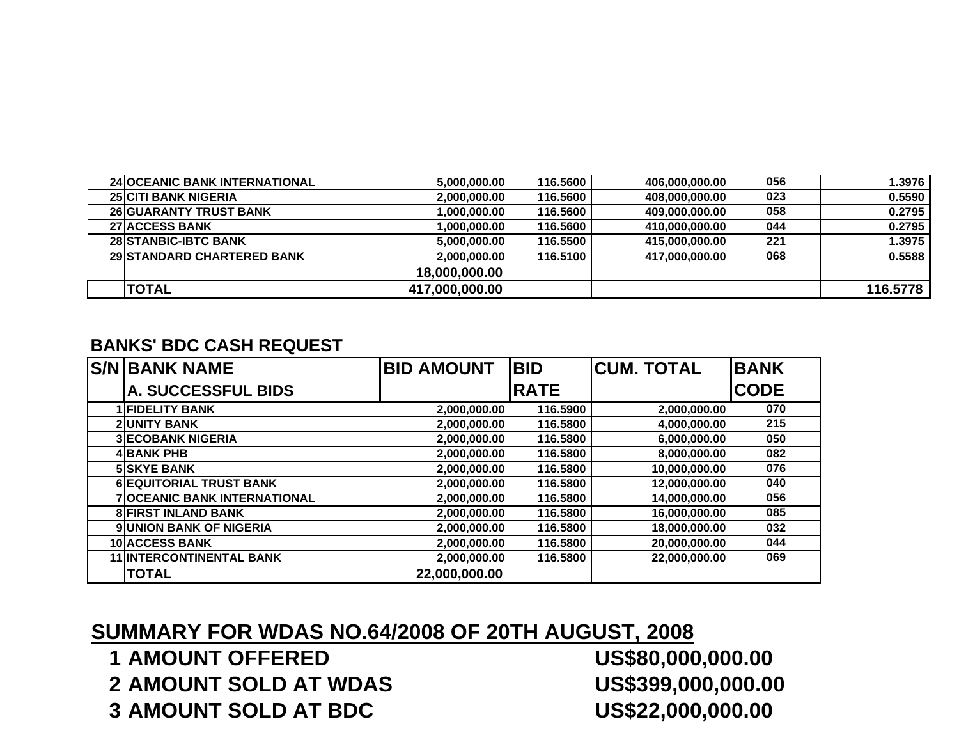| <b>24 OCEANIC BANK INTERNATIONAL</b> | 5,000,000.00   | 116.5600 | 406,000,000.00 | 056 | 1.3976   |
|--------------------------------------|----------------|----------|----------------|-----|----------|
| <b>25 CITI BANK NIGERIA</b>          | 2,000,000.00   | 116.5600 | 408.000.000.00 | 023 | 0.5590   |
| <b>26 GUARANTY TRUST BANK</b>        | 1,000,000.00   | 116.5600 | 409,000,000.00 | 058 | 0.2795   |
| <b>27 ACCESS BANK</b>                | 1,000,000.00   | 116,5600 | 410,000,000.00 | 044 | 0.2795   |
| <b>28 STANBIC-IBTC BANK</b>          | 5,000,000.00   | 116,5500 | 415,000,000.00 | 221 | 1.3975   |
| <b>29 STANDARD CHARTERED BANK</b>    | 2,000,000.00   | 116.5100 | 417,000,000.00 | 068 | 0.5588   |
|                                      | 18,000,000.00  |          |                |     |          |
| <b>TOTAL</b>                         | 417,000,000.00 |          |                |     | 116,5778 |

#### **BANKS' BDC CASH REQUEST**

| <b>S/N BANK NAME</b>                | <b>BID AMOUNT</b> | <b>BID</b>  | <b>CUM. TOTAL</b> | <b>BANK</b> |
|-------------------------------------|-------------------|-------------|-------------------|-------------|
| <b>A. SUCCESSFUL BIDS</b>           |                   | <b>RATE</b> |                   | <b>CODE</b> |
| <b>1 FIDELITY BANK</b>              | 2,000,000.00      | 116.5900    | 2,000,000.00      | 070         |
| <b>2 UNITY BANK</b>                 | 2,000,000.00      | 116.5800    | 4,000,000.00      | 215         |
| <b>3 ECOBANK NIGERIA</b>            | 2,000,000.00      | 116.5800    | 6,000,000.00      | 050         |
| <b>4 BANK PHB</b>                   | 2,000,000.00      | 116.5800    | 8,000,000.00      | 082         |
| <b>5 SKYE BANK</b>                  | 2,000,000.00      | 116.5800    | 10,000,000.00     | 076         |
| <b>6 EQUITORIAL TRUST BANK</b>      | 2,000,000.00      | 116,5800    | 12,000,000.00     | 040         |
| <b>7 OCEANIC BANK INTERNATIONAL</b> | 2,000,000.00      | 116.5800    | 14,000,000.00     | 056         |
| <b>8 FIRST INLAND BANK</b>          | 2,000,000.00      | 116,5800    | 16,000,000.00     | 085         |
| <b>9 UNION BANK OF NIGERIA</b>      | 2,000,000.00      | 116.5800    | 18,000,000.00     | 032         |
| <b>10 ACCESS BANK</b>               | 2,000,000.00      | 116,5800    | 20,000,000.00     | 044         |
| <b>11 INTERCONTINENTAL BANK</b>     | 2,000,000.00      | 116.5800    | 22,000,000.00     | 069         |
| <b>TOTAL</b>                        | 22,000,000.00     |             |                   |             |

### **SUMMARY FOR WDAS NO.64/2008 OF 20TH AUGUST, 2008**

 **AMOUNT OFFERED US\$80,000,000.00 AMOUNT SOLD AT WDAS US\$399,000,000.00 AMOUNT SOLD AT BDC US\$22,000,000.00**